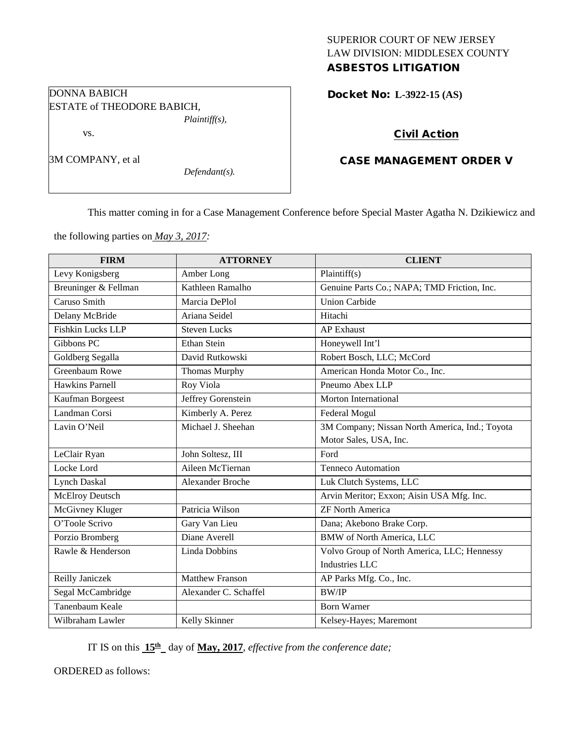# SUPERIOR COURT OF NEW JERSEY LAW DIVISION: MIDDLESEX COUNTY ASBESTOS LITIGATION

Docket No: **L-3922-15 (AS)** 

## Civil Action

# CASE MANAGEMENT ORDER V

This matter coming in for a Case Management Conference before Special Master Agatha N. Dzikiewicz and

the following parties on *May 3, 2017:*

ESTATE of THEODORE BABICH,

*Plaintiff(s),*

*Defendant(s).*

DONNA BABICH

vs.

3M COMPANY, et al

| <b>FIRM</b>              | <b>ATTORNEY</b>         | <b>CLIENT</b>                                  |
|--------------------------|-------------------------|------------------------------------------------|
| Levy Konigsberg          | Amber Long              | Plaintiff(s)                                   |
| Breuninger & Fellman     | Kathleen Ramalho        | Genuine Parts Co.; NAPA; TMD Friction, Inc.    |
| Caruso Smith             | Marcia DePlol           | <b>Union Carbide</b>                           |
| Delany McBride           | Ariana Seidel           | Hitachi                                        |
| <b>Fishkin Lucks LLP</b> | <b>Steven Lucks</b>     | <b>AP</b> Exhaust                              |
| Gibbons PC               | Ethan Stein             | Honeywell Int'l                                |
| Goldberg Segalla         | David Rutkowski         | Robert Bosch, LLC; McCord                      |
| Greenbaum Rowe           | <b>Thomas Murphy</b>    | American Honda Motor Co., Inc.                 |
| <b>Hawkins Parnell</b>   | Roy Viola               | Pneumo Abex LLP                                |
| Kaufman Borgeest         | Jeffrey Gorenstein      | <b>Morton International</b>                    |
| Landman Corsi            | Kimberly A. Perez       | Federal Mogul                                  |
| Lavin O'Neil             | Michael J. Sheehan      | 3M Company; Nissan North America, Ind.; Toyota |
|                          |                         | Motor Sales, USA, Inc.                         |
| LeClair Ryan             | John Soltesz, III       | Ford                                           |
| Locke Lord               | Aileen McTiernan        | <b>Tenneco Automation</b>                      |
| <b>Lynch Daskal</b>      | <b>Alexander Broche</b> | Luk Clutch Systems, LLC                        |
| <b>McElroy Deutsch</b>   |                         | Arvin Meritor; Exxon; Aisin USA Mfg. Inc.      |
| McGivney Kluger          | Patricia Wilson         | <b>ZF North America</b>                        |
| O'Toole Scrivo           | Gary Van Lieu           | Dana; Akebono Brake Corp.                      |
| Porzio Bromberg          | Diane Averell           | <b>BMW</b> of North America, LLC               |
| Rawle & Henderson        | <b>Linda Dobbins</b>    | Volvo Group of North America, LLC; Hennessy    |
|                          |                         | <b>Industries LLC</b>                          |
| Reilly Janiczek          | <b>Matthew Franson</b>  | AP Parks Mfg. Co., Inc.                        |
| Segal McCambridge        | Alexander C. Schaffel   | <b>BW/IP</b>                                   |
| Tanenbaum Keale          |                         | <b>Born Warner</b>                             |
| Wilbraham Lawler         | Kelly Skinner           | Kelsey-Hayes; Maremont                         |

IT IS on this  $15<sup>th</sup>$  day of May, 2017, *effective from the conference date;* 

ORDERED as follows: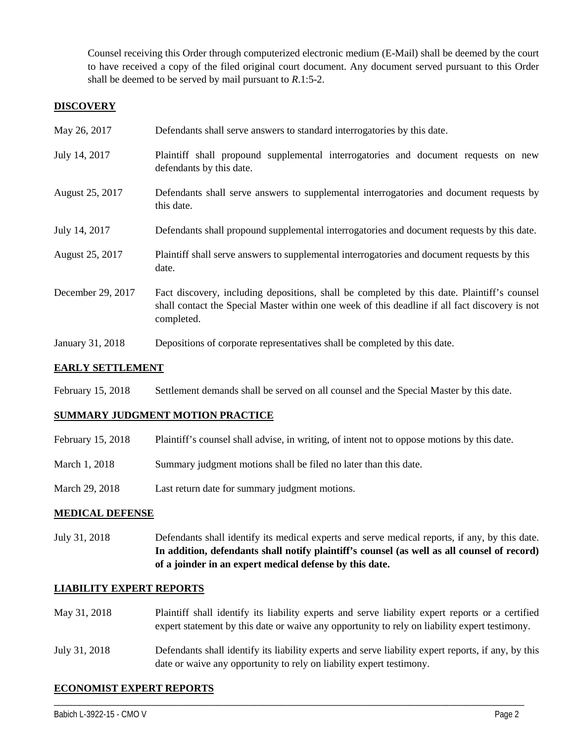Counsel receiving this Order through computerized electronic medium (E-Mail) shall be deemed by the court to have received a copy of the filed original court document. Any document served pursuant to this Order shall be deemed to be served by mail pursuant to *R*.1:5-2.

### **DISCOVERY**

| May 26, 2017      | Defendants shall serve answers to standard interrogatories by this date.                                                                                                                                    |
|-------------------|-------------------------------------------------------------------------------------------------------------------------------------------------------------------------------------------------------------|
| July 14, 2017     | Plaintiff shall propound supplemental interrogatories and document requests on new<br>defendants by this date.                                                                                              |
| August 25, 2017   | Defendants shall serve answers to supplemental interrogatories and document requests by<br>this date.                                                                                                       |
| July 14, 2017     | Defendants shall propound supplemental interrogatories and document requests by this date.                                                                                                                  |
| August 25, 2017   | Plaintiff shall serve answers to supplemental interrogatories and document requests by this<br>date.                                                                                                        |
| December 29, 2017 | Fact discovery, including depositions, shall be completed by this date. Plaintiff's counsel<br>shall contact the Special Master within one week of this deadline if all fact discovery is not<br>completed. |
| January 31, 2018  | Depositions of corporate representatives shall be completed by this date.                                                                                                                                   |

## **EARLY SETTLEMENT**

February 15, 2018 Settlement demands shall be served on all counsel and the Special Master by this date.

#### **SUMMARY JUDGMENT MOTION PRACTICE**

- February 15, 2018 Plaintiff's counsel shall advise, in writing, of intent not to oppose motions by this date.
- March 1, 2018 Summary judgment motions shall be filed no later than this date.
- March 29, 2018 Last return date for summary judgment motions.

#### **MEDICAL DEFENSE**

July 31, 2018 Defendants shall identify its medical experts and serve medical reports, if any, by this date. **In addition, defendants shall notify plaintiff's counsel (as well as all counsel of record) of a joinder in an expert medical defense by this date.**

#### **LIABILITY EXPERT REPORTS**

- May 31, 2018 Plaintiff shall identify its liability experts and serve liability expert reports or a certified expert statement by this date or waive any opportunity to rely on liability expert testimony.
- July 31, 2018 Defendants shall identify its liability experts and serve liability expert reports, if any, by this date or waive any opportunity to rely on liability expert testimony.

\_\_\_\_\_\_\_\_\_\_\_\_\_\_\_\_\_\_\_\_\_\_\_\_\_\_\_\_\_\_\_\_\_\_\_\_\_\_\_\_\_\_\_\_\_\_\_\_\_\_\_\_\_\_\_\_\_\_\_\_\_\_\_\_\_\_\_\_\_\_\_\_\_\_\_\_\_\_\_\_\_\_\_\_\_\_\_\_\_\_\_\_\_\_\_\_\_\_\_\_\_\_\_\_\_\_\_\_\_\_

#### **ECONOMIST EXPERT REPORTS**